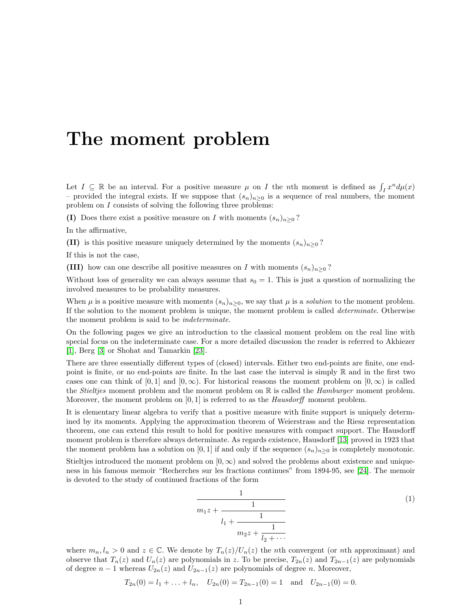## The moment problem

Let  $I \subseteq \mathbb{R}$  be an interval. For a positive measure  $\mu$  on I the nth moment is defined as  $\int_I x^n d\mu(x)$ – provided the integral exists. If we suppose that  $(s_n)_{n>0}$  is a sequence of real numbers, the moment problem on I consists of solving the following three problems:

(I) Does there exist a positive measure on I with moments  $(s_n)_{n\geq 0}$ ?

In the affirmative,

(II) is this positive measure uniquely determined by the moments  $(s_n)_{n>0}$ ?

If this is not the case,

(III) how can one describe all positive measures on I with moments  $(s_n)_{n>0}$ ?

Without loss of generality we can always assume that  $s_0 = 1$ . This is just a question of normalizing the involved measures to be probability measures.

When  $\mu$  is a positive measure with moments  $(s_n)_{n>0}$ , we say that  $\mu$  is a *solution* to the moment problem. If the solution to the moment problem is unique, the moment problem is called determinate. Otherwise the moment problem is said to be indeterminate.

On the following pages we give an introduction to the classical moment problem on the real line with special focus on the indeterminate case. For a more detailed discussion the reader is referred to Akhiezer [\[1\]](#page-8-0), Berg [\[3\]](#page-8-1) or Shohat and Tamarkin [\[23\]](#page-9-0).

There are three essentially different types of (closed) intervals. Either two end-points are finite, one endpoint is finite, or no end-points are finite. In the last case the interval is simply  $\mathbb R$  and in the first two cases one can think of  $[0, 1]$  and  $[0, \infty)$ . For historical reasons the moment problem on  $[0, \infty)$  is called the *Stieltjes* moment problem and the moment problem on  $\mathbb R$  is called the *Hamburger* moment problem. Moreover, the moment problem on  $[0, 1]$  is referred to as the *Hausdorff* moment problem.

It is elementary linear algebra to verify that a positive measure with finite support is uniquely determined by its moments. Applying the approximation theorem of Weierstrass and the Riesz representation theorem, one can extend this result to hold for positive measures with compact support. The Hausdorff moment problem is therefore always determinate. As regards existence, Hausdorff [\[13\]](#page-8-2) proved in 1923 that the moment problem has a solution on [0, 1] if and only if the sequence  $(s_n)_{n>0}$  is completely monotonic.

Stieltjes introduced the moment problem on  $[0, \infty)$  and solved the problems about existence and uniqueness in his famous memoir "Recherches sur les fractions continues" from 1894-95, see [\[24\]](#page-9-1). The memoir is devoted to the study of continued fractions of the form

<span id="page-0-0"></span>
$$
\cfrac{1}{m_1 z + \cfrac{1}{l_1 + \cfrac{1}{m_2 z + \cfrac{1}{l_2 + \cdots}}}}
$$
\n(1)

where  $m_n, l_n > 0$  and  $z \in \mathbb{C}$ . We denote by  $T_n(z)/U_n(z)$  the nth convergent (or nth approximant) and observe that  $T_n(z)$  and  $U_n(z)$  are polynomials in z. To be precise,  $T_{2n}(z)$  and  $T_{2n-1}(z)$  are polynomials of degree  $n-1$  whereas  $U_{2n}(z)$  and  $U_{2n-1}(z)$  are polynomials of degree n. Moreover,

$$
T_{2n}(0) = l_1 + ... + l_n
$$
,  $U_{2n}(0) = T_{2n-1}(0) = 1$  and  $U_{2n-1}(0) = 0$ .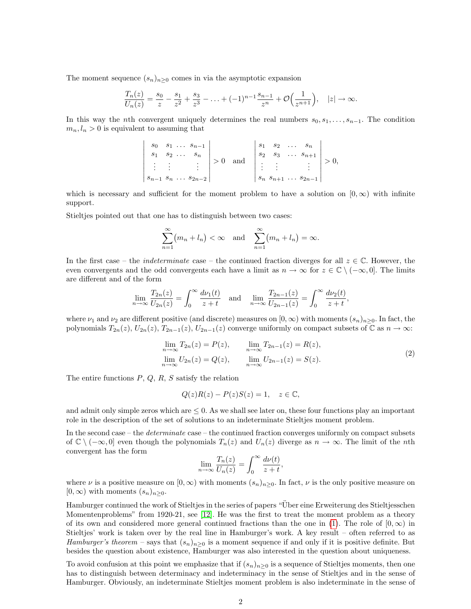The moment sequence  $(s_n)_{n\geq 0}$  comes in via the asymptotic expansion

$$
\frac{T_n(z)}{U_n(z)} = \frac{s_0}{z} - \frac{s_1}{z^2} + \frac{s_3}{z^3} - \ldots + (-1)^{n-1} \frac{s_{n-1}}{z^n} + \mathcal{O}\Big(\frac{1}{z^{n+1}}\Big), \quad |z| \to \infty.
$$

In this way the nth convergent uniquely determines the real numbers  $s_0, s_1, \ldots, s_{n-1}$ . The condition  $m_n, l_n > 0$  is equivalent to assuming that

$$
\begin{vmatrix} s_0 & s_1 & \dots & s_{n-1} \\ s_1 & s_2 & \dots & s_n \\ \vdots & \vdots & & \vdots \\ s_{n-1} & s_n & \dots & s_{2n-2} \end{vmatrix} > 0 \text{ and } \begin{vmatrix} s_1 & s_2 & \dots & s_n \\ s_2 & s_3 & \dots & s_{n+1} \\ \vdots & & \vdots & & \vdots \\ s_n & s_{n+1} & \dots & s_{2n-1} \end{vmatrix} > 0,
$$

which is necessary and sufficient for the moment problem to have a solution on  $[0,\infty)$  with infinite support.

Stieltjes pointed out that one has to distinguish between two cases:

$$
\sum_{n=1}^{\infty} (m_n + l_n) < \infty \quad \text{and} \quad \sum_{n=1}^{\infty} (m_n + l_n) = \infty.
$$

In the first case – the *indeterminate* case – the continued fraction diverges for all  $z \in \mathbb{C}$ . However, the even convergents and the odd convergents each have a limit as  $n \to \infty$  for  $z \in \mathbb{C} \setminus (-\infty, 0]$ . The limits are different and of the form

$$
\lim_{n \to \infty} \frac{T_{2n}(z)}{U_{2n}(z)} = \int_0^\infty \frac{d\nu_1(t)}{z+t} \quad \text{and} \quad \lim_{n \to \infty} \frac{T_{2n-1}(z)}{U_{2n-1}(z)} = \int_0^\infty \frac{d\nu_2(t)}{z+t},
$$

where  $\nu_1$  and  $\nu_2$  are different positive (and discrete) measures on  $[0,\infty)$  with moments  $(s_n)_{n>0}$ . In fact, the polynomials  $T_{2n}(z)$ ,  $U_{2n}(z)$ ,  $T_{2n-1}(z)$ ,  $U_{2n-1}(z)$  converge uniformly on compact subsets of  $\mathbb C$  as  $n \to \infty$ :

$$
\lim_{n \to \infty} T_{2n}(z) = P(z), \qquad \lim_{n \to \infty} T_{2n-1}(z) = R(z),
$$
  
\n
$$
\lim_{n \to \infty} U_{2n}(z) = Q(z), \qquad \lim_{n \to \infty} U_{2n-1}(z) = S(z).
$$
\n(2)

The entire functions  $P, Q, R, S$  satisfy the relation

<span id="page-1-0"></span>
$$
Q(z)R(z) - P(z)S(z) = 1, \quad z \in \mathbb{C},
$$

and admit only simple zeros which are  $\leq 0$ . As we shall see later on, these four functions play an important role in the description of the set of solutions to an indeterminate Stieltjes moment problem.

In the second case – the *determinate* case – the continued fraction converges uniformly on compact subsets of  $\mathbb{C} \setminus (-\infty, 0]$  even though the polynomials  $T_n(z)$  and  $U_n(z)$  diverge as  $n \to \infty$ . The limit of the *n*th convergent has the form

$$
\lim_{n \to \infty} \frac{T_n(z)}{U_n(z)} = \int_0^\infty \frac{d\nu(t)}{z+t},
$$

where  $\nu$  is a positive measure on  $[0,\infty)$  with moments  $(s_n)_{n\geq 0}$ . In fact,  $\nu$  is the only positive measure on  $[0,\infty)$  with moments  $(s_n)_{n\geq 0}$ .

Hamburger continued the work of Stieltjes in the series of papers "Uber eine Erweiterung des Stieltjesschen ¨ Momentenproblems" from 1920-21, see [\[12\]](#page-8-3). He was the first to treat the moment problem as a theory of its own and considered more general continued fractions than the one in [\(1\)](#page-0-0). The role of  $(0, \infty)$  in Stieltjes' work is taken over by the real line in Hamburger's work. A key result – often referred to as Hamburger's theorem – says that  $(s_n)_{n>0}$  is a moment sequence if and only if it is positive definite. But besides the question about existence, Hamburger was also interested in the question about uniqueness.

To avoid confusion at this point we emphasize that if  $(s_n)_{n>0}$  is a sequence of Stieltjes moments, then one has to distinguish between determinacy and indeterminacy in the sense of Stieltjes and in the sense of Hamburger. Obviously, an indeterminate Stieltjes moment problem is also indeterminate in the sense of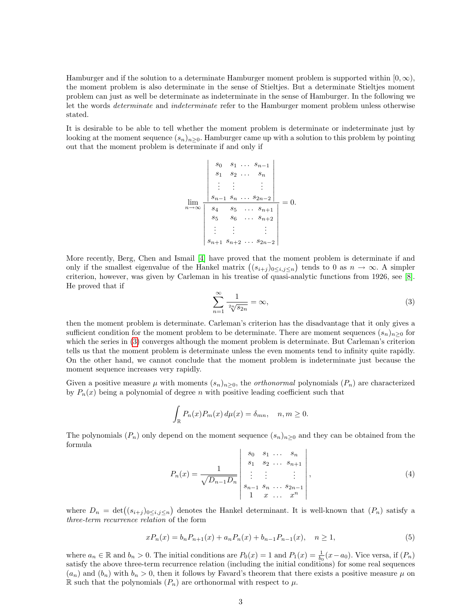Hamburger and if the solution to a determinate Hamburger moment problem is supported within  $[0, \infty)$ , the moment problem is also determinate in the sense of Stieltjes. But a determinate Stieltjes moment problem can just as well be determinate as indeterminate in the sense of Hamburger. In the following we let the words determinate and indeterminate refer to the Hamburger moment problem unless otherwise stated.

It is desirable to be able to tell whether the moment problem is determinate or indeterminate just by looking at the moment sequence  $(s_n)_{n\geq 0}$ . Hamburger came up with a solution to this problem by pointing out that the moment problem is determinate if and only if

$$
\lim_{n \to \infty} \frac{\begin{vmatrix} s_0 & s_1 & \dots & s_{n-1} \\ s_1 & s_2 & \dots & s_n \\ \vdots & \vdots & & \vdots \\ s_{n-1} & s_n & \dots & s_{2n-2} \end{vmatrix}}{\begin{vmatrix} s_4 & s_5 & \dots & s_{n+1} \\ s_5 & s_6 & \dots & s_{n+2} \\ \vdots & \vdots & & \vdots \\ s_{n+1} & s_{n+2} & \dots & s_{2n-2} \end{vmatrix}} = 0.
$$

<span id="page-2-0"></span>More recently, Berg, Chen and Ismail [\[4\]](#page-8-4) have proved that the moment problem is determinate if and only if the smallest eigenvalue of the Hankel matrix  $((s_{i+j})_{0\leq i,j\leq n})$  tends to 0 as  $n \to \infty$ . A simpler criterion, however, was given by Carleman in his treatise of quasi-analytic functions from 1926, see [\[8\]](#page-8-5). He proved that if

$$
\sum_{n=1}^{\infty} \frac{1}{\sqrt[2n]{s_{2n}}} = \infty,
$$
\n(3)

then the moment problem is determinate. Carleman's criterion has the disadvantage that it only gives a sufficient condition for the moment problem to be determinate. There are moment sequences  $(s_n)_{n>0}$  for which the series in [\(3\)](#page-2-0) converges although the moment problem is determinate. But Carleman's criterion tells us that the moment problem is determinate unless the even moments tend to infinity quite rapidly. On the other hand, we cannot conclude that the moment problem is indeterminate just because the moment sequence increases very rapidly.

Given a positive measure  $\mu$  with moments  $(s_n)_{n>0}$ , the *orthonormal* polynomials  $(P_n)$  are characterized by  $P_n(x)$  being a polynomial of degree n with positive leading coefficient such that

$$
\int_{\mathbb{R}} P_n(x) P_m(x) d\mu(x) = \delta_{mn}, \quad n, m \ge 0.
$$

The polynomials  $(P_n)$  only depend on the moment sequence  $(s_n)_{n\geq 0}$  and they can be obtained from the formula

$$
P_n(x) = \frac{1}{\sqrt{D_{n-1}D_n}} \begin{vmatrix} s_0 & s_1 & \dots & s_n \\ s_1 & s_2 & \dots & s_{n+1} \\ \vdots & \vdots & & \vdots \\ s_{n-1} & s_n & \dots & s_{2n-1} \\ 1 & x & \dots & x^n \end{vmatrix},
$$
 (4)

where  $D_n = \det((s_{i+j})_{0 \le i,j \le n})$  denotes the Hankel determinant. It is well-known that  $(P_n)$  satisfy a three-term recurrence relation of the form

<span id="page-2-1"></span>
$$
xP_n(x) = b_n P_{n+1}(x) + a_n P_n(x) + b_{n-1} P_{n-1}(x), \quad n \ge 1,
$$
\n(5)

where  $a_n \in \mathbb{R}$  and  $b_n > 0$ . The initial conditions are  $P_0(x) = 1$  and  $P_1(x) = \frac{1}{b_0}(x-a_0)$ . Vice versa, if  $(P_n)$ satisfy the above three-term recurrence relation (including the initial conditions) for some real sequences  $(a_n)$  and  $(b_n)$  with  $b_n > 0$ , then it follows by Favard's theorem that there exists a positive measure  $\mu$  on R such that the polynomials  $(P_n)$  are orthonormal with respect to  $\mu$ .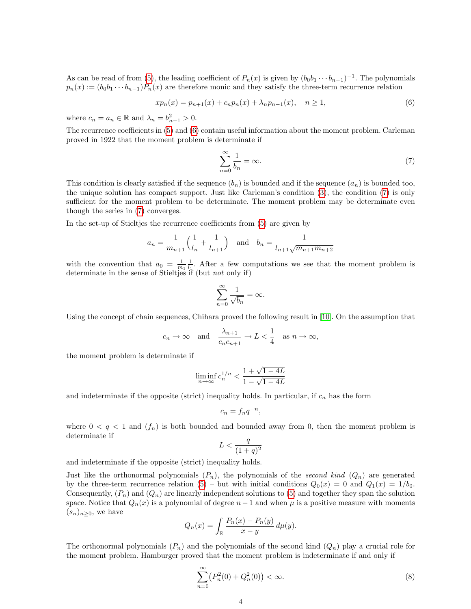As can be read of from [\(5\)](#page-2-1), the leading coefficient of  $P_n(x)$  is given by  $(b_0b_1 \cdots b_{n-1})^{-1}$ . The polynomials  $p_n(x) := (b_0b_1 \cdots b_{n-1})P_n(x)$  are therefore monic and they satisfy the three-term recurrence relation

$$
xp_n(x) = p_{n+1}(x) + c_n p_n(x) + \lambda_n p_{n-1}(x), \quad n \ge 1,
$$
\n(6)

where  $c_n = a_n \in \mathbb{R}$  and  $\lambda_n = b_{n-1}^2 > 0$ .

The recurrence coefficients in [\(5\)](#page-2-1) and [\(6\)](#page-3-0) contain useful information about the moment problem. Carleman proved in 1922 that the moment problem is determinate if

<span id="page-3-1"></span><span id="page-3-0"></span>
$$
\sum_{n=0}^{\infty} \frac{1}{b_n} = \infty.
$$
\n(7)

This condition is clearly satisfied if the sequence  $(b_n)$  is bounded and if the sequence  $(a_n)$  is bounded too, the unique solution has compact support. Just like Carleman's condition [\(3\)](#page-2-0), the condition [\(7\)](#page-3-1) is only sufficient for the moment problem to be determinate. The moment problem may be determinate even though the series in [\(7\)](#page-3-1) converges.

In the set-up of Stieltjes the recurrence coefficients from [\(5\)](#page-2-1) are given by

$$
a_n = \frac{1}{m_{n+1}} \left( \frac{1}{l_n} + \frac{1}{l_{n+1}} \right)
$$
 and  $b_n = \frac{1}{l_{n+1} \sqrt{m_{n+1} m_{n+2}}}$ 

with the convention that  $a_0 = \frac{1}{m_1} \frac{1}{l_1}$ . After a few computations we see that the moment problem is determinate in the sense of Stieltjes if (but *not* only if)

$$
\sum_{n=0}^{\infty} \frac{1}{\sqrt{b_n}} = \infty.
$$

Using the concept of chain sequences, Chihara proved the following result in [\[10\]](#page-8-6). On the assumption that

$$
c_n \to \infty
$$
 and  $\frac{\lambda_{n+1}}{c_n c_{n+1}} \to L < \frac{1}{4}$  as  $n \to \infty$ ,

the moment problem is determinate if

$$
\liminf_{n \to \infty} c_n^{1/n} < \frac{1 + \sqrt{1 - 4L}}{1 - \sqrt{1 - 4L}}
$$

and indeterminate if the opposite (strict) inequality holds. In particular, if  $c_n$  has the form

$$
c_n = f_n q^{-n},
$$

where  $0 < q < 1$  and  $(f_n)$  is both bounded and bounded away from 0, then the moment problem is determinate if

$$
L < \frac{q}{(1+q)^2}
$$

and indeterminate if the opposite (strict) inequality holds.

Just like the orthonormal polynomials  $(P_n)$ , the polynomials of the second kind  $(Q_n)$  are generated by the three-term recurrence relation  $(5)$  – but with initial conditions  $Q_0(x) = 0$  and  $Q_1(x) = 1/b_0$ . Consequently,  $(P_n)$  and  $(Q_n)$  are linearly independent solutions to [\(5\)](#page-2-1) and together they span the solution space. Notice that  $Q_n(x)$  is a polynomial of degree  $n-1$  and when  $\mu$  is a positive measure with moments  $(s_n)_{n\geq 0}$ , we have

$$
Q_n(x) = \int_{\mathbb{R}} \frac{P_n(x) - P_n(y)}{x - y} d\mu(y).
$$

The orthonormal polynomials  $(P_n)$  and the polynomials of the second kind  $(Q_n)$  play a crucial role for the moment problem. Hamburger proved that the moment problem is indeterminate if and only if

<span id="page-3-2"></span>
$$
\sum_{n=0}^{\infty} (P_n^2(0) + Q_n^2(0)) < \infty. \tag{8}
$$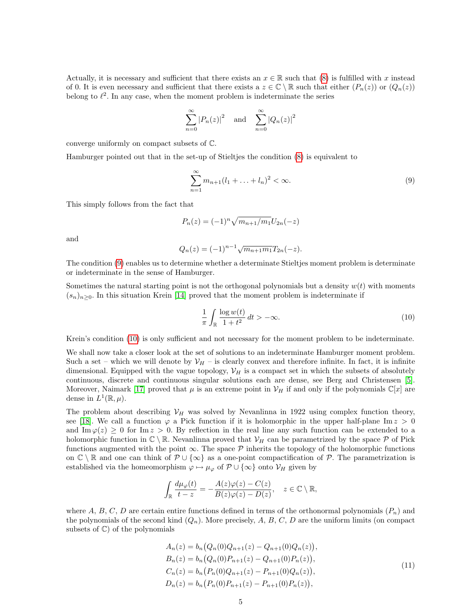Actually, it is necessary and sufficient that there exists an  $x \in \mathbb{R}$  such that [\(8\)](#page-3-2) is fulfilled with x instead of 0. It is even necessary and sufficient that there exists a  $z \in \mathbb{C} \setminus \mathbb{R}$  such that either  $(P_n(z))$  or  $(Q_n(z))$ belong to  $\ell^2$ . In any case, when the moment problem is indeterminate the series

$$
\sum_{n=0}^{\infty} |P_n(z)|^2 \quad \text{and} \quad \sum_{n=0}^{\infty} |Q_n(z)|^2
$$

converge uniformly on compact subsets of C.

Hamburger pointed out that in the set-up of Stieltjes the condition [\(8\)](#page-3-2) is equivalent to

<span id="page-4-0"></span>
$$
\sum_{n=1}^{\infty} m_{n+1}(l_1 + \dots + l_n)^2 < \infty. \tag{9}
$$

This simply follows from the fact that

$$
P_n(z) = (-1)^n \sqrt{m_{n+1}/m_1} U_{2n}(-z)
$$

and

$$
Q_n(z) = (-1)^{n-1} \sqrt{m_{n+1}m_1} T_{2n}(-z).
$$

The condition [\(9\)](#page-4-0) enables us to determine whether a determinate Stieltjes moment problem is determinate or indeterminate in the sense of Hamburger.

Sometimes the natural starting point is not the orthogonal polynomials but a density  $w(t)$  with moments  $(s_n)_{n>0}$ . In this situation Krein [\[14\]](#page-8-7) proved that the moment problem is indeterminate if

<span id="page-4-1"></span>
$$
\frac{1}{\pi} \int_{\mathbb{R}} \frac{\log w(t)}{1+t^2} dt > -\infty.
$$
\n(10)

Krein's condition [\(10\)](#page-4-1) is only sufficient and not necessary for the moment problem to be indeterminate.

We shall now take a closer look at the set of solutions to an indeterminate Hamburger moment problem. Such a set – which we will denote by  $\mathcal{V}_H$  – is clearly convex and therefore infinite. In fact, it is infinite dimensional. Equipped with the vague topology,  $V_H$  is a compact set in which the subsets of absolutely continuous, discrete and continuous singular solutions each are dense, see Berg and Christensen [\[5\]](#page-8-8). Moreover, Naimark [\[17\]](#page-8-9) proved that  $\mu$  is an extreme point in  $V_H$  if and only if the polynomials  $\mathbb{C}[x]$  are dense in  $L^1(\mathbb{R}, \mu)$ .

The problem about describing  $V_H$  was solved by Nevanlinna in 1922 using complex function theory, see [\[18\]](#page-9-2). We call a function  $\varphi$  a Pick function if it is holomorphic in the upper half-plane Im  $z > 0$ and Im  $\varphi(z) \geq 0$  for Im  $z > 0$ . By reflection in the real line any such function can be extended to a holomorphic function in  $\mathbb{C} \setminus \mathbb{R}$ . Nevanlinna proved that  $\mathcal{V}_H$  can be parametrized by the space  $\mathcal P$  of Pick functions augmented with the point  $\infty$ . The space  $\mathcal P$  inherits the topology of the holomorphic functions on  $\mathbb{C} \setminus \mathbb{R}$  and one can think of  $\mathcal{P} \cup \{\infty\}$  as a one-point compactification of  $\mathcal{P}$ . The parametrization is established via the homeomorphism  $\varphi \mapsto \mu_{\varphi}$  of  $\mathcal{P} \cup {\infty}$  onto  $\mathcal{V}_H$  given by

$$
\int_{\mathbb{R}} \frac{d\mu_{\varphi}(t)}{t-z} = -\frac{A(z)\varphi(z) - C(z)}{B(z)\varphi(z) - D(z)}, \quad z \in \mathbb{C} \setminus \mathbb{R},
$$

where A, B, C, D are certain entire functions defined in terms of the orthonormal polynomials  $(P_n)$  and the polynomials of the second kind  $(Q_n)$ . More precisely, A, B, C, D are the uniform limits (on compact subsets of  $\mathbb{C}$ ) of the polynomials

$$
A_n(z) = b_n (Q_n(0)Q_{n+1}(z) - Q_{n+1}(0)Q_n(z)),
$$
  
\n
$$
B_n(z) = b_n (Q_n(0)P_{n+1}(z) - Q_{n+1}(0)P_n(z)),
$$
  
\n
$$
C_n(z) = b_n (P_n(0)Q_{n+1}(z) - P_{n+1}(0)Q_n(z)),
$$
  
\n
$$
D_n(z) = b_n (P_n(0)P_{n+1}(z) - P_{n+1}(0)P_n(z)),
$$
\n(11)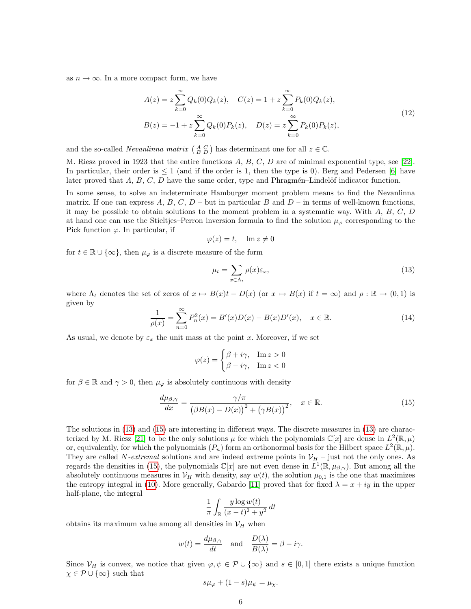as  $n \to \infty$ . In a more compact form, we have

$$
A(z) = z \sum_{k=0}^{\infty} Q_k(0) Q_k(z), \quad C(z) = 1 + z \sum_{k=0}^{\infty} P_k(0) Q_k(z),
$$
  
\n
$$
B(z) = -1 + z \sum_{k=0}^{\infty} Q_k(0) P_k(z), \quad D(z) = z \sum_{k=0}^{\infty} P_k(0) P_k(z),
$$
\n(12)

and the so-called *Nevanlinna matrix*  $\begin{pmatrix} A & C \\ B & D \end{pmatrix}$  has determinant one for all  $z \in \mathbb{C}$ .

M. Riesz proved in 1923 that the entire functions A, B, C, D are of minimal exponential type, see [\[22\]](#page-9-3). In particular, their order is  $\leq 1$  (and if the order is 1, then the type is 0). Berg and Pedersen [\[6\]](#page-8-10) have later proved that  $A, B, C, D$  have the same order, type and Phragmén–Lindelöf indicator function.

In some sense, to solve an indeterminate Hamburger moment problem means to find the Nevanlinna matrix. If one can express A, B, C,  $D$  – but in particular B and  $D$  – in terms of well-known functions, it may be possible to obtain solutions to the moment problem in a systematic way. With A, B, C, D at hand one can use the Stieltjes–Perron inversion formula to find the solution  $\mu_{\varphi}$  corresponding to the Pick function  $\varphi$ . In particular, if

$$
\varphi(z) = t, \quad \text{Im } z \neq 0
$$

for  $t \in \mathbb{R} \cup \{\infty\}$ , then  $\mu_{\varphi}$  is a discrete measure of the form

<span id="page-5-0"></span>
$$
\mu_t = \sum_{x \in \Lambda_t} \rho(x)\varepsilon_x,\tag{13}
$$

<span id="page-5-2"></span>where  $\Lambda_t$  denotes the set of zeros of  $x \mapsto B(x)t - D(x)$  (or  $x \mapsto B(x)$  if  $t = \infty$ ) and  $\rho : \mathbb{R} \to (0,1)$  is given by

$$
\frac{1}{\rho(x)} = \sum_{n=0}^{\infty} P_n^2(x) = B'(x)D(x) - B(x)D'(x), \quad x \in \mathbb{R}.
$$
 (14)

As usual, we denote by  $\varepsilon_x$  the unit mass at the point x. Moreover, if we set

<span id="page-5-1"></span>
$$
\varphi(z) = \begin{cases} \beta + i\gamma, & \text{Im } z > 0 \\ \beta - i\gamma, & \text{Im } z < 0 \end{cases}
$$

for  $\beta \in \mathbb{R}$  and  $\gamma > 0$ , then  $\mu_{\varphi}$  is absolutely continuous with density

$$
\frac{d\mu_{\beta,\gamma}}{dx} = \frac{\gamma/\pi}{\left(\beta B(x) - D(x)\right)^2 + \left(\gamma B(x)\right)^2}, \quad x \in \mathbb{R}.\tag{15}
$$

The solutions in [\(13\)](#page-5-0) and [\(15\)](#page-5-1) are interesting in different ways. The discrete measures in [\(13\)](#page-5-0) are charac-terized by M. Riesz [\[21\]](#page-9-4) to be the only solutions  $\mu$  for which the polynomials  $\mathbb{C}[x]$  are dense in  $L^2(\mathbb{R}, \mu)$ or, equivalently, for which the polynomials  $(P_n)$  form an orthonormal basis for the Hilbert space  $L^2(\mathbb{R}, \mu)$ . They are called N-extremal solutions and are indeed extreme points in  $V_H$  – just not the only ones. As regards the densities in [\(15\)](#page-5-1), the polynomials  $\mathbb{C}[x]$  are not even dense in  $L^1(\mathbb{R}, \mu_{\beta, \gamma})$ . But among all the absolutely continuous measures in  $V_H$  with density, say  $w(t)$ , the solution  $\mu_{0,1}$  is the one that maximizes the entropy integral in [\(10\)](#page-4-1). More generally, Gabardo [\[11\]](#page-8-11) proved that for fixed  $\lambda = x + iy$  in the upper half-plane, the integral

$$
\frac{1}{\pi}\int_{\mathbb{R}}\frac{y\log w(t)}{(x-t)^2+y^2}\,dt
$$

obtains its maximum value among all densities in  $\mathcal{V}_H$  when

$$
w(t) = \frac{d\mu_{\beta,\gamma}}{dt}
$$
 and  $\frac{D(\lambda)}{B(\lambda)} = \beta - i\gamma$ .

Since  $V_H$  is convex, we notice that given  $\varphi, \psi \in \mathcal{P} \cup \{\infty\}$  and  $s \in [0,1]$  there exists a unique function  $\chi \in \mathcal{P} \cup {\infty}$  such that

$$
s\mu_{\varphi} + (1 - s)\mu_{\psi} = \mu_{\chi}.
$$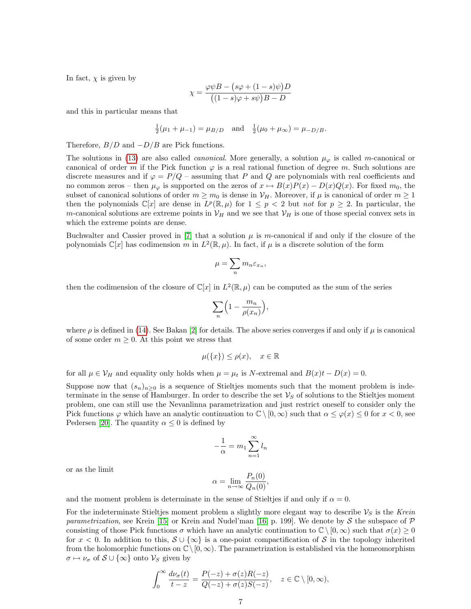In fact,  $\chi$  is given by

$$
\chi = \frac{\varphi \psi B - (s\varphi + (1 - s)\psi)D}{((1 - s)\varphi + s\psi)B - D}
$$

and this in particular means that

$$
\frac{1}{2}(\mu_1 + \mu_{-1}) = \mu_{B/D}
$$
 and  $\frac{1}{2}(\mu_0 + \mu_{\infty}) = \mu_{-D/B}$ .

Therefore,  $B/D$  and  $-D/B$  are Pick functions.

The solutions in [\(13\)](#page-5-0) are also called *canonical*. More generally, a solution  $\mu_{\varphi}$  is called m-canonical or canonical of order m if the Pick function  $\varphi$  is a real rational function of degree m. Such solutions are discrete measures and if  $\varphi = P/Q$  – assuming that P and Q are polynomials with real coefficients and no common zeros – then  $\mu_{\varphi}$  is supported on the zeros of  $x \mapsto B(x)P(x) - D(x)Q(x)$ . For fixed  $m_0$ , the subset of canonical solutions of order  $m \ge m_0$  is dense in  $\mathcal{V}_H$ . Moreover, if  $\mu$  is canonical of order  $m \ge 1$ then the polynomials  $\mathbb{C}[x]$  are dense in  $L^p(\mathbb{R}, \mu)$  for  $1 \leq p < 2$  but not for  $p \geq 2$ . In particular, the m-canonical solutions are extreme points in  $V_H$  and we see that  $V_H$  is one of those special convex sets in which the extreme points are dense.

Buchwalter and Cassier proved in  $[7]$  that a solution  $\mu$  is m-canonical if and only if the closure of the polynomials  $\mathbb{C}[x]$  has codimension m in  $L^2(\mathbb{R}, \mu)$ . In fact, if  $\mu$  is a discrete solution of the form

$$
\mu = \sum_n m_n \varepsilon_{x_n},
$$

then the codimension of the closure of  $\mathbb{C}[x]$  in  $L^2(\mathbb{R}, \mu)$  can be computed as the sum of the series

$$
\sum_n \Bigl(1-\frac{m_n}{\rho(x_n)}\Bigr),
$$

where  $\rho$  is defined in [\(14\)](#page-5-2). See Bakan [\[2\]](#page-8-13) for details. The above series converges if and only if  $\mu$  is canonical of some order  $m \geq 0$ . At this point we stress that

$$
\mu(\{x\}) \le \rho(x), \quad x \in \mathbb{R}
$$

for all  $\mu \in \mathcal{V}_H$  and equality only holds when  $\mu = \mu_t$  is N-extremal and  $B(x)t - D(x) = 0$ .

Suppose now that  $(s_n)_{n>0}$  is a sequence of Stieltjes moments such that the moment problem is indeterminate in the sense of Hamburger. In order to describe the set  $\mathcal{V}_S$  of solutions to the Stieltjes moment problem, one can still use the Nevanlinna parametrization and just restrict oneself to consider only the Pick functions  $\varphi$  which have an analytic continuation to  $\mathbb{C} \setminus [0,\infty)$  such that  $\alpha \leq \varphi(x) \leq 0$  for  $x < 0$ , see Pedersen [\[20\]](#page-9-5). The quantity  $\alpha \leq 0$  is defined by

$$
-\frac{1}{\alpha} = m_1 \sum_{n=1}^{\infty} l_n
$$

or as the limit

$$
\alpha = \lim_{n \to \infty} \frac{P_n(0)}{Q_n(0)},
$$

and the moment problem is determinate in the sense of Stieltjes if and only if  $\alpha = 0$ .

For the indeterminate Stieltjes moment problem a slightly more elegant way to describe  $\mathcal{V}_S$  is the Krein parametrization, see Krein [\[15\]](#page-8-14) or Krein and Nudel'man [\[16,](#page-8-15) p. 199]. We denote by S the subspace of  $\mathcal P$ consisting of those Pick functions  $\sigma$  which have an analytic continuation to  $\mathbb{C} \setminus [0,\infty)$  such that  $\sigma(x) \geq 0$ for  $x < 0$ . In addition to this,  $S \cup \{\infty\}$  is a one-point compactification of S in the topology inherited from the holomorphic functions on  $\mathbb{C}\setminus[0,\infty)$ . The parametrization is established via the homeomorphism  $\sigma \mapsto \nu_{\sigma}$  of  $S \cup {\infty}$  onto  $V_S$  given by

$$
\int_0^\infty \frac{d\nu_\sigma(t)}{t-z} = \frac{P(-z) + \sigma(z)R(-z)}{Q(-z) + \sigma(z)S(-z)}, \quad z \in \mathbb{C} \setminus [0, \infty),
$$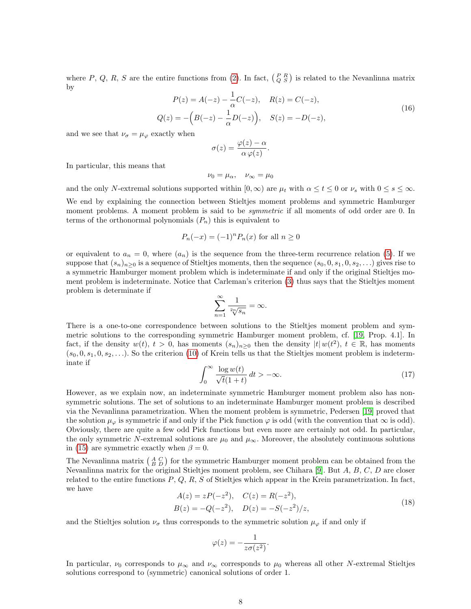where P, Q, R, S are the entire functions from [\(2\)](#page-1-0). In fact,  $\begin{pmatrix} P & R \\ Q & S \end{pmatrix}$  is related to the Nevanlinna matrix by

$$
P(z) = A(-z) - \frac{1}{\alpha}C(-z), \quad R(z) = C(-z),
$$
  
\n
$$
Q(z) = -\left(B(-z) - \frac{1}{\alpha}D(-z)\right), \quad S(z) = -D(-z),
$$
\n(16)

and we see that  $\nu_{\sigma} = \mu_{\varphi}$  exactly when

$$
\sigma(z) = \frac{\varphi(z) - \alpha}{\alpha \varphi(z)}.
$$

In particular, this means that

$$
\nu_0 = \mu_\alpha, \quad \nu_\infty = \mu_0
$$

and the only N-extremal solutions supported within  $[0, \infty)$  are  $\mu_t$  with  $\alpha \leq t \leq 0$  or  $\nu_s$  with  $0 \leq s \leq \infty$ .

We end by explaining the connection between Stieltjes moment problems and symmetric Hamburger moment problems. A moment problem is said to be *symmetric* if all moments of odd order are 0. In terms of the orthonormal polynomials  $(P_n)$  this is equivalent to

$$
P_n(-x) = (-1)^n P_n(x)
$$
 for all  $n \ge 0$ 

or equivalent to  $a_n = 0$ , where  $(a_n)$  is the sequence from the three-term recurrence relation [\(5\)](#page-2-1). If we suppose that  $(s_n)_{n>0}$  is a sequence of Stieltjes moments, then the sequence  $(s_0, 0, s_1, 0, s_2, \ldots)$  gives rise to a symmetric Hamburger moment problem which is indeterminate if and only if the original Stieltjes moment problem is indeterminate. Notice that Carleman's criterion [\(3\)](#page-2-0) thus says that the Stieltjes moment problem is determinate if

$$
\sum_{n=1}^{\infty} \frac{1}{\sqrt[2n]{s_n}} = \infty.
$$

There is a one-to-one correspondence between solutions to the Stieltjes moment problem and symmetric solutions to the corresponding symmetric Hamburger moment problem, cf. [\[19,](#page-9-6) Prop. 4.1]. In fact, if the density  $w(t)$ ,  $t > 0$ , has moments  $(s_n)_{n\geq 0}$  then the density  $|t| w(t^2)$ ,  $t \in \mathbb{R}$ , has moments  $(s_0, 0, s_1, 0, s_2, \ldots)$ . So the criterion [\(10\)](#page-4-1) of Krein tells us that the Stieltjes moment problem is indeterminate if

$$
\int_0^\infty \frac{\log w(t)}{\sqrt{t}(1+t)} dt > -\infty.
$$
 (17)

However, as we explain now, an indeterminate symmetric Hamburger moment problem also has nonsymmetric solutions. The set of solutions to an indeterminate Hamburger moment problem is described via the Nevanlinna parametrization. When the moment problem is symmetric, Pedersen [\[19\]](#page-9-6) proved that the solution  $\mu_{\varphi}$  is symmetric if and only if the Pick function  $\varphi$  is odd (with the convention that  $\infty$  is odd). Obviously, there are quite a few odd Pick functions but even more are certainly not odd. In particular, the only symmetric N-extremal solutions are  $\mu_0$  and  $\mu_{\infty}$ . Moreover, the absolutely continuous solutions in [\(15\)](#page-5-1) are symmetric exactly when  $\beta = 0$ .

The Nevanlinna matrix  $\begin{pmatrix} A & C \\ B & D \end{pmatrix}$  for the symmetric Hamburger moment problem can be obtained from the Nevanlinna matrix for the original Stieltjes moment problem, see Chihara [\[9\]](#page-8-16). But  $A, B, C, D$  are closer related to the entire functions  $P$ ,  $Q$ ,  $R$ ,  $S$  of Stieltjes which appear in the Krein parametrization. In fact, we have

$$
A(z) = zP(-z2), \quad C(z) = R(-z2), B(z) = -Q(-z2), \quad D(z) = -S(-z2)/z,
$$
 (18)

and the Stieltjes solution  $\nu_{\sigma}$  thus corresponds to the symmetric solution  $\mu_{\varphi}$  if and only if

$$
\varphi(z) = -\frac{1}{z\sigma(z^2)}.
$$

In particular,  $\nu_0$  corresponds to  $\mu_{\infty}$  and  $\nu_{\infty}$  corresponds to  $\mu_0$  whereas all other N-extremal Stieltjes solutions correspond to (symmetric) canonical solutions of order 1.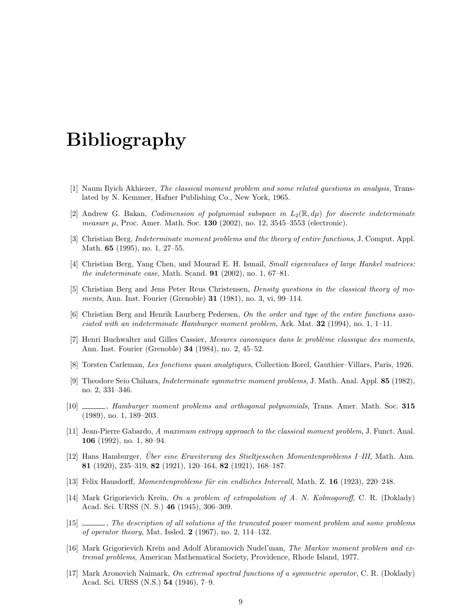## Bibliography

- <span id="page-8-0"></span>[1] Naum Ilyich Akhiezer, The classical moment problem and some related questions in analysis, Translated by N. Kemmer, Hafner Publishing Co., New York, 1965.
- <span id="page-8-13"></span>[2] Andrew G. Bakan, *Codimension of polynomial subspace in*  $L_2(\mathbb{R}, d\mu)$  for discrete indeterminate measure  $\mu$ , Proc. Amer. Math. Soc. **130** (2002), no. 12, 3545–3553 (electronic).
- <span id="page-8-1"></span>[3] Christian Berg, Indeterminate moment problems and the theory of entire functions, J. Comput. Appl. Math. 65 (1995), no. 1, 27–55.
- <span id="page-8-4"></span>[4] Christian Berg, Yang Chen, and Mourad E. H. Ismail, Small eigenvalues of large Hankel matrices: the indeterminate case, Math. Scand.  $91$  (2002), no. 1, 67–81.
- <span id="page-8-8"></span>[5] Christian Berg and Jens Peter Reus Christensen, Density questions in the classical theory of moments, Ann. Inst. Fourier (Grenoble) 31 (1981), no. 3, vi, 99–114.
- <span id="page-8-10"></span>[6] Christian Berg and Henrik Laurberg Pedersen, On the order and type of the entire functions associated with an indeterminate Hamburger moment problem, Ark. Mat.  $32$  (1994), no. 1, 1–11.
- <span id="page-8-12"></span>[7] Henri Buchwalter and Gilles Cassier, Mesures canoniques dans le problème classique des moments, Ann. Inst. Fourier (Grenoble) 34 (1984), no. 2, 45–52.
- <span id="page-8-5"></span>[8] Torsten Carleman, Les fonctions quasi analytiques, Collection Borel, Gauthier–Villars, Paris, 1926.
- <span id="page-8-16"></span>[9] Theodore Seio Chihara, Indeterminate symmetric moment problems, J. Math. Anal. Appl. 85 (1982), no. 2, 331–346.
- <span id="page-8-6"></span>[10]  $\qquad \qquad$ , Hamburger moment problems and orthogonal polynomials, Trans. Amer. Math. Soc. 315 (1989), no. 1, 189–203.
- <span id="page-8-11"></span>[11] Jean-Pierre Gabardo, A maximum entropy approach to the classical moment problem, J. Funct. Anal. 106 (1992), no. 1, 80–94.
- <span id="page-8-3"></span>[12] Hans Hamburger, Uber eine Erweiterung des Stieltjesschen Momentenproblems I–III, Math. Ann. 81 (1920), 235–319, 82 (1921), 120–164, 82 (1921), 168–187.
- <span id="page-8-2"></span>[13] Felix Hausdorff, *Momentenprobleme für ein endliches Intervall*, Math. Z. **16** (1923), 220–248.
- <span id="page-8-7"></span>[14] Mark Grigorievich Kreĭn, On a problem of extrapolation of A. N. Kolmogoroff, C. R. (Doklady) Acad. Sci. URSS (N. S.) 46 (1945), 306–309.
- <span id="page-8-14"></span>[15] , The description of all solutions of the truncated power moment problem and some problems of operator theory, Mat. Issled. 2 (1967), no. 2, 114–132.
- <span id="page-8-15"></span>[16] Mark Grigorievich Kreĭn and Adolf Abramovich Nudel'man, *The Markov moment problem and ex*tremal problems, American Mathematical Society, Providence, Rhode Island, 1977.
- <span id="page-8-9"></span>[17] Mark Aronovich Naimark, On extremal spectral functions of a symmetric operator, C. R. (Doklady) Acad. Sci. URSS (N.S.) 54 (1946), 7–9.